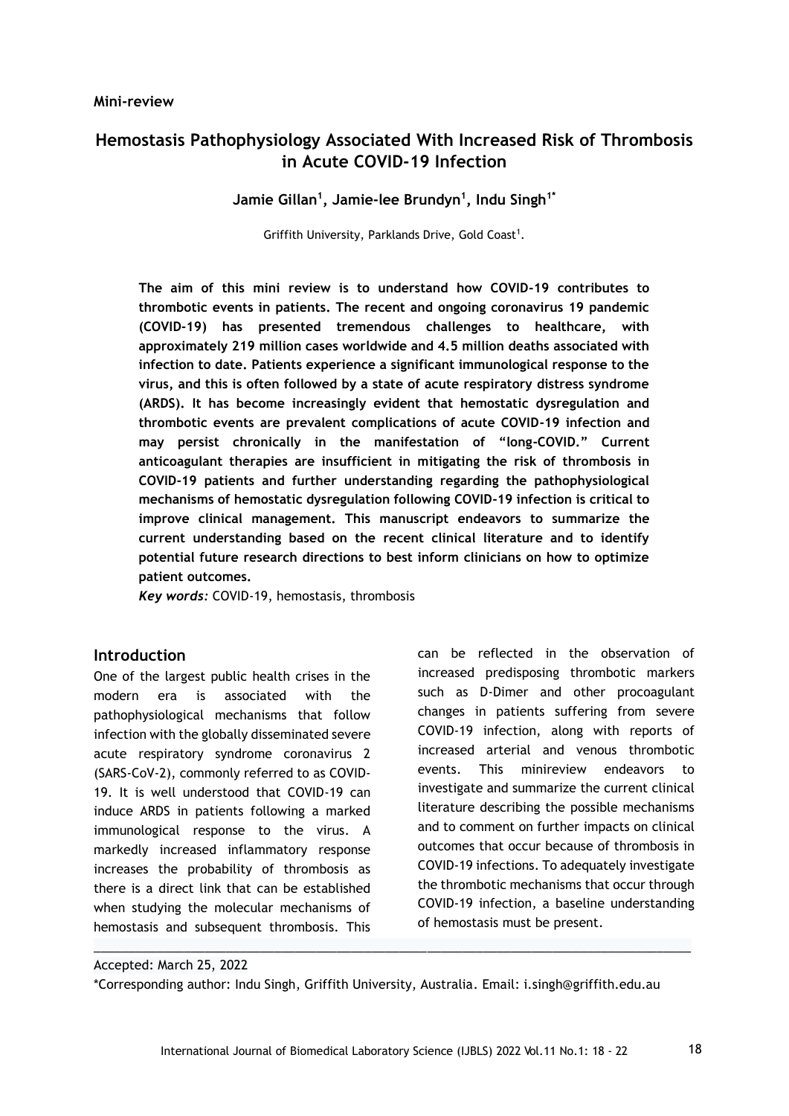# **Hemostasis Pathophysiology Associated With Increased Risk of Thrombosis in Acute COVID-19 Infection**

**Jamie Gillan<sup>1</sup> , Jamie-lee Brundyn<sup>1</sup> , Indu Singh1\***

Griffith University, Parklands Drive, Gold Coast<sup>1</sup>.

**The aim of this mini review is to understand how COVID-19 contributes to thrombotic events in patients. The recent and ongoing coronavirus 19 pandemic (COVID-19) has presented tremendous challenges to healthcare, with approximately 219 million cases worldwide and 4.5 million deaths associated with infection to date. Patients experience a significant immunological response to the virus, and this is often followed by a state of acute respiratory distress syndrome (ARDS). It has become increasingly evident that hemostatic dysregulation and thrombotic events are prevalent complications of acute COVID-19 infection and may persist chronically in the manifestation of "long-COVID." Current anticoagulant therapies are insufficient in mitigating the risk of thrombosis in COVID-19 patients and further understanding regarding the pathophysiological mechanisms of hemostatic dysregulation following COVID-19 infection is critical to improve clinical management. This manuscript endeavors to summarize the current understanding based on the recent clinical literature and to identify potential future research directions to best inform clinicians on how to optimize patient outcomes.** 

*Key words:* COVID-19, hemostasis, thrombosis

## **Introduction**

One of the largest public health crises in the modern era is associated with the pathophysiological mechanisms that follow infection with the globally disseminated severe acute respiratory syndrome coronavirus 2 (SARS-CoV-2), commonly referred to as COVID-19. It is well understood that COVID-19 can induce ARDS in patients following a marked immunological response to the virus. A markedly increased inflammatory response increases the probability of thrombosis as there is a direct link that can be established when studying the molecular mechanisms of hemostasis and subsequent thrombosis. This

can be reflected in the observation of increased predisposing thrombotic markers such as D-Dimer and other procoagulant changes in patients suffering from severe COVID-19 infection, along with reports of increased arterial and venous thrombotic events. This minireview endeavors to investigate and summarize the current clinical literature describing the possible mechanisms and to comment on further impacts on clinical outcomes that occur because of thrombosis in COVID-19 infections. To adequately investigate the thrombotic mechanisms that occur through COVID-19 infection, a baseline understanding of hemostasis must be present.

Accepted: March 25, 2022

\*Corresponding author: Indu Singh, Griffith University, Australia. Email: i.singh@griffith.edu.au

 $\_$  ,  $\_$  ,  $\_$  ,  $\_$  ,  $\_$  ,  $\_$  ,  $\_$  ,  $\_$  ,  $\_$  ,  $\_$  ,  $\_$  ,  $\_$  ,  $\_$  ,  $\_$  ,  $\_$  ,  $\_$  ,  $\_$  ,  $\_$  ,  $\_$  ,  $\_$  ,  $\_$  ,  $\_$  ,  $\_$  ,  $\_$  ,  $\_$  ,  $\_$  ,  $\_$  ,  $\_$  ,  $\_$  ,  $\_$  ,  $\_$  ,  $\_$  ,  $\_$  ,  $\_$  ,  $\_$  ,  $\_$  ,  $\_$  ,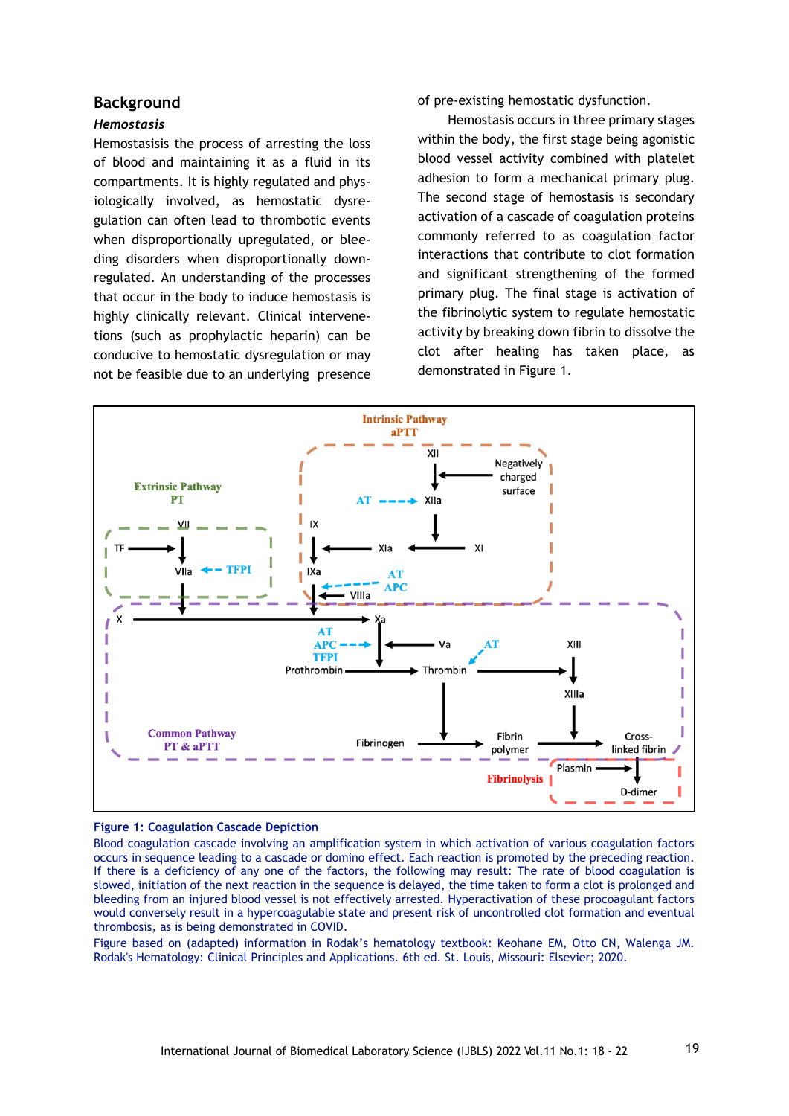### **Background**

#### *Hemostasis*

Hemostasisis the process of arresting the loss of blood and maintaining it as a fluid in its compartments. It is highly regulated and physiologically involved, as hemostatic dysregulation can often lead to thrombotic events when disproportionally upregulated, or bleeding disorders when disproportionally downregulated. An understanding of the processes that occur in the body to induce hemostasis is highly clinically relevant. Clinical intervenetions (such as prophylactic heparin) can be conducive to hemostatic dysregulation or may not be feasible due to an underlying presence

of pre-existing hemostatic dysfunction.

Hemostasis occurs in three primary stages within the body, the first stage being agonistic blood vessel activity combined with platelet adhesion to form a mechanical primary plug. The second stage of hemostasis is secondary activation of a cascade of coagulation proteins commonly referred to as coagulation factor interactions that contribute to clot formation and significant strengthening of the formed primary plug. The final stage is activation of the fibrinolytic system to regulate hemostatic activity by breaking down fibrin to dissolve the clot after healing has taken place, as demonstrated in Figure 1.



#### **Figure 1: Coagulation Cascade Depiction**

Blood coagulation cascade involving an amplification system in which activation of various coagulation factors occurs in sequence leading to a cascade or domino effect. Each reaction is promoted by the preceding reaction. If there is a deficiency of any one of the factors, the following may result: The rate of blood coagulation is slowed, initiation of the next reaction in the sequence is delayed, the time taken to form a clot is prolonged and bleeding from an injured blood vessel is not effectively arrested. Hyperactivation of these procoagulant factors would conversely result in a hypercoagulable state and present risk of uncontrolled clot formation and eventual thrombosis, as is being demonstrated in COVID.

Figure based on (adapted) information in Rodak's hematology textbook: Keohane EM, Otto CN, Walenga JM. Rodak's Hematology: Clinical Principles and Applications. 6th ed. St. Louis, Missouri: Elsevier; 2020.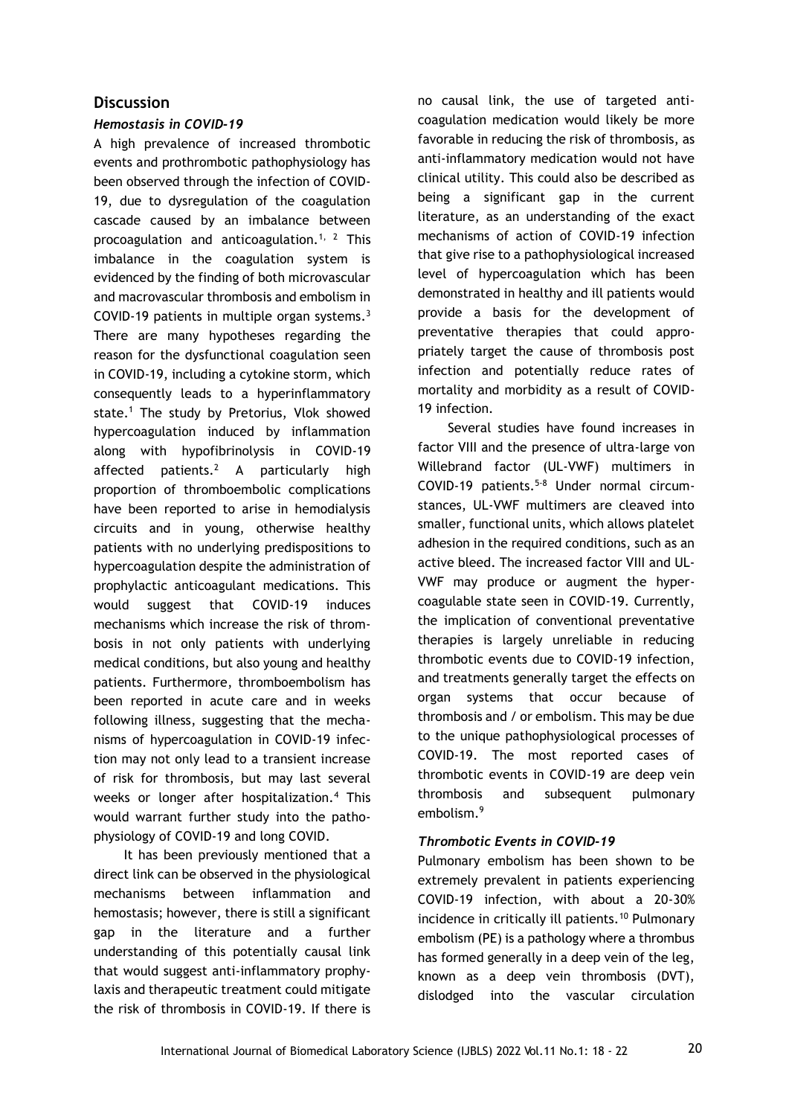# **Discussion**

### *Hemostasis in COVID-19*

A high prevalence of increased thrombotic events and prothrombotic pathophysiology has been observed through the infection of COVID-19, due to dysregulation of the coagulation cascade caused by an imbalance between procoagulation and anticoagulation.<sup>1, 2</sup> This imbalance in the coagulation system is evidenced by the finding of both microvascular and macrovascular thrombosis and embolism in COVID-19 patients in multiple organ systems.<sup>3</sup> There are many hypotheses regarding the reason for the dysfunctional coagulation seen in COVID-19, including a cytokine storm, which consequently leads to a hyperinflammatory state.<sup>1</sup> The study by Pretorius, Vlok showed hypercoagulation induced by inflammation along with hypofibrinolysis in COVID-19 affected patients.<sup>2</sup> A particularly high proportion of thromboembolic complications have been reported to arise in hemodialysis circuits and in young, otherwise healthy patients with no underlying predispositions to hypercoagulation despite the administration of prophylactic anticoagulant medications. This would suggest that COVID-19 induces mechanisms which increase the risk of thrombosis in not only patients with underlying medical conditions, but also young and healthy patients. Furthermore, thromboembolism has been reported in acute care and in weeks following illness, suggesting that the mechanisms of hypercoagulation in COVID-19 infection may not only lead to a transient increase of risk for thrombosis, but may last several weeks or longer after hospitalization.<sup>4</sup> This would warrant further study into the pathophysiology of COVID-19 and long COVID.

It has been previously mentioned that a direct link can be observed in the physiological mechanisms between inflammation and hemostasis; however, there is still a significant gap in the literature and a further understanding of this potentially causal link that would suggest anti-inflammatory prophylaxis and therapeutic treatment could mitigate the risk of thrombosis in COVID-19. If there is no causal link, the use of targeted anticoagulation medication would likely be more favorable in reducing the risk of thrombosis, as anti-inflammatory medication would not have clinical utility. This could also be described as being a significant gap in the current literature, as an understanding of the exact mechanisms of action of COVID-19 infection that give rise to a pathophysiological increased level of hypercoagulation which has been demonstrated in healthy and ill patients would provide a basis for the development of preventative therapies that could appropriately target the cause of thrombosis post infection and potentially reduce rates of mortality and morbidity as a result of COVID-19 infection.

Several studies have found increases in factor VIII and the presence of ultra-large von Willebrand factor (UL-VWF) multimers in COVID-19 patients.5-8 Under normal circumstances, UL-VWF multimers are cleaved into smaller, functional units, which allows platelet adhesion in the required conditions, such as an active bleed. The increased factor VIII and UL-VWF may produce or augment the hypercoagulable state seen in COVID-19. Currently, the implication of conventional preventative therapies is largely unreliable in reducing thrombotic events due to COVID-19 infection, and treatments generally target the effects on organ systems that occur because of thrombosis and / or embolism. This may be due to the unique pathophysiological processes of COVID-19. The most reported cases of thrombotic events in COVID-19 are deep vein thrombosis and subsequent pulmonary embolism.<sup>9</sup>

#### *Thrombotic Events in COVID-19*

Pulmonary embolism has been shown to be extremely prevalent in patients experiencing COVID-19 infection, with about a 20-30% incidence in critically ill patients.<sup>10</sup> Pulmonary embolism (PE) is a pathology where a thrombus has formed generally in a deep vein of the leg, known as a deep vein thrombosis (DVT), dislodged into the vascular circulation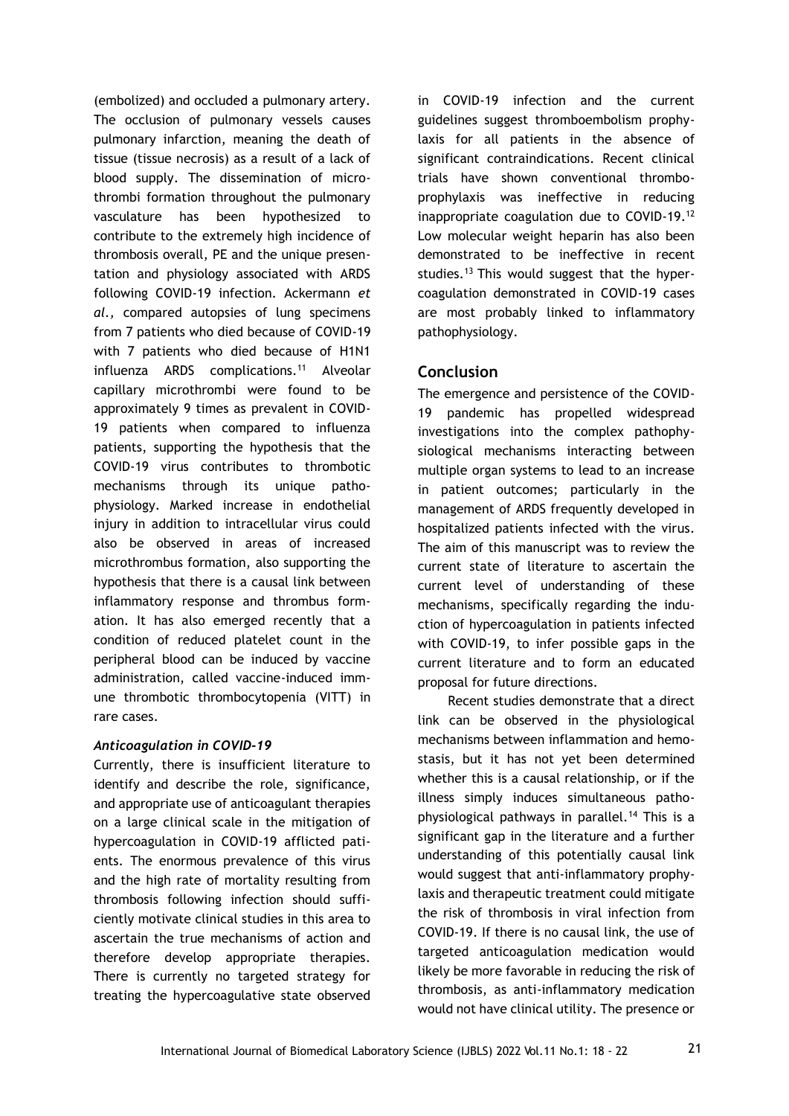(embolized) and occluded a pulmonary artery. The occlusion of pulmonary vessels causes pulmonary infarction, meaning the death of tissue (tissue necrosis) as a result of a lack of blood supply. The dissemination of microthrombi formation throughout the pulmonary vasculature has been hypothesized to contribute to the extremely high incidence of thrombosis overall, PE and the unique presentation and physiology associated with ARDS following COVID-19 infection. Ackermann *et al.,* compared autopsies of lung specimens from 7 patients who died because of COVID-19 with 7 patients who died because of H1N1 influenza ARDS complications.<sup>11</sup> Alveolar capillary microthrombi were found to be approximately 9 times as prevalent in COVID-19 patients when compared to influenza patients, supporting the hypothesis that the COVID-19 virus contributes to thrombotic mechanisms through its unique pathophysiology. Marked increase in endothelial injury in addition to intracellular virus could also be observed in areas of increased microthrombus formation, also supporting the hypothesis that there is a causal link between inflammatory response and thrombus formation. It has also emerged recently that a condition of reduced platelet count in the peripheral blood can be induced by vaccine administration, called vaccine-induced immune thrombotic thrombocytopenia (VITT) in rare cases.

#### *Anticoagulation in COVID-19*

Currently, there is insufficient literature to identify and describe the role, significance, and appropriate use of anticoagulant therapies on a large clinical scale in the mitigation of hypercoagulation in COVID-19 afflicted patients. The enormous prevalence of this virus and the high rate of mortality resulting from thrombosis following infection should sufficiently motivate clinical studies in this area to ascertain the true mechanisms of action and therefore develop appropriate therapies. There is currently no targeted strategy for treating the hypercoagulative state observed

in COVID-19 infection and the current guidelines suggest thromboembolism prophylaxis for all patients in the absence of significant contraindications. Recent clinical trials have shown conventional thromboprophylaxis was ineffective in reducing inappropriate coagulation due to COVID-19.<sup>12</sup> Low molecular weight heparin has also been demonstrated to be ineffective in recent studies.<sup>13</sup> This would suggest that the hypercoagulation demonstrated in COVID-19 cases are most probably linked to inflammatory pathophysiology.

# **Conclusion**

The emergence and persistence of the COVID-19 pandemic has propelled widespread investigations into the complex pathophysiological mechanisms interacting between multiple organ systems to lead to an increase in patient outcomes; particularly in the management of ARDS frequently developed in hospitalized patients infected with the virus. The aim of this manuscript was to review the current state of literature to ascertain the current level of understanding of these mechanisms, specifically regarding the induction of hypercoagulation in patients infected with COVID-19, to infer possible gaps in the current literature and to form an educated proposal for future directions.

Recent studies demonstrate that a direct link can be observed in the physiological mechanisms between inflammation and hemostasis, but it has not yet been determined whether this is a causal relationship, or if the illness simply induces simultaneous pathophysiological pathways in parallel.<sup>14</sup> This is a significant gap in the literature and a further understanding of this potentially causal link would suggest that anti-inflammatory prophylaxis and therapeutic treatment could mitigate the risk of thrombosis in viral infection from COVID-19. If there is no causal link, the use of targeted anticoagulation medication would likely be more favorable in reducing the risk of thrombosis, as anti-inflammatory medication would not have clinical utility. The presence or